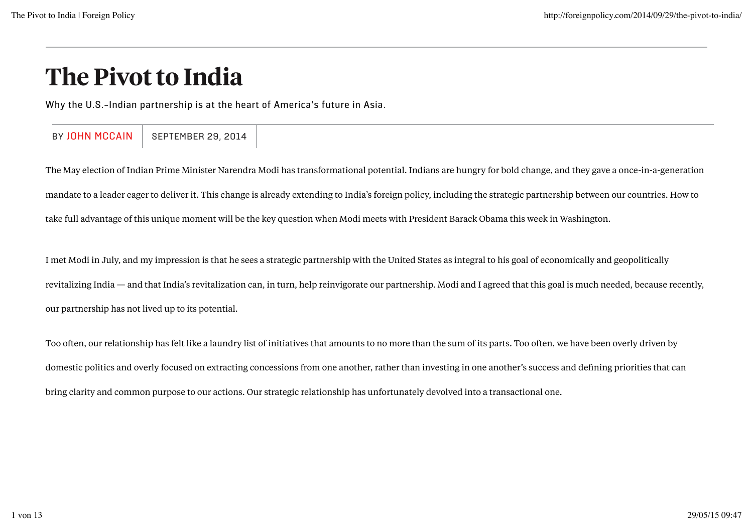## The Pivot to India

Why the U.S.-Indian partnership is at the heart of America's future in Asia.

BY JOHN MCCAIN | SEPTEMBER 29, 2014

The May election of Indian Prime Minister Narendra Modi has transformational potential. Indians are hungry for bold change, and they gave a once-in-a-generation mandate to a leader eager to deliver it. This change is already extending to India's foreign policy, including the strategic partnership between our countries. How to take full advantage of this unique moment will be the key question when Modi meets with President Barack Obama this week in Washington.

I met Modi in July, and my impression is that he sees a strategic partnership with the United States as integral to his goal of economically and geopolitically revitalizing India — and that India's revitalization can, in turn, help reinvigorate our partnership. Modi and I agreed that this goal is much needed, because recently, our partnership has not lived up to its potential.

Too often, our relationship has felt like a laundry list of initiatives that amounts to no more than the sum of its parts. Too often, we have been overly driven by domestic politics and overly focused on extracting concessions from one another, rather than investing in one another's success and defining priorities that can bring clarity and common purpose to our actions. Our strategic relationship has unfortunately devolved into a transactional one.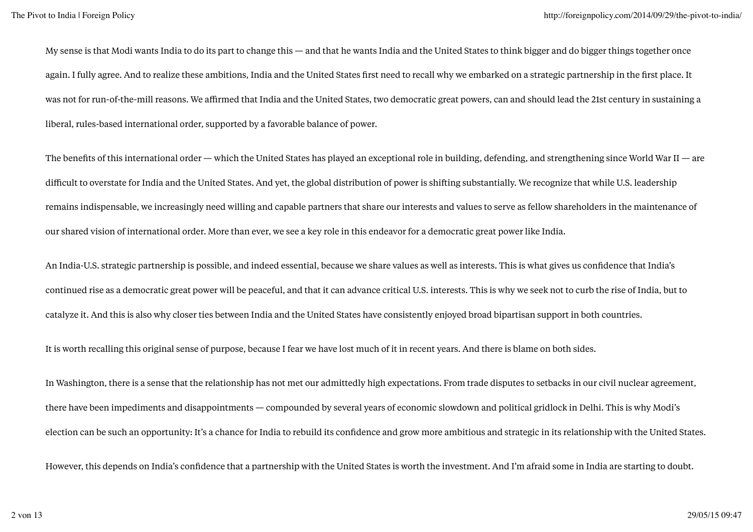My sense is that Modi wants India to do its part to change this — and that he wants India and the United States to think bigger and do bigger things together once again. I fully agree. And to realize these ambitions, India and the United States first need to recall why we embarked on a strategic partnership in the first place. It was not for run-of-the-mill reasons. We affirmed that India and the United States, two democratic great powers, can and should lead the 21st century in sustaining a liberal, rules-based international order, supported by a favorable balance of power.

The benefits of this international order — which the United States has played an exceptional role in building, defending, and strengthening since World War II — are difficult to overstate for India and the United States. And yet, the global distribution of power is shifting substantially. We recognize that while U.S. leadership remains indispensable, we increasingly need willing and capable partners that share our interests and values to serve as fellow shareholders in the maintenance of our shared vision of international order. More than ever, we see a key role in this endeavor for a democratic great power like India.

An India-U.S. strategic partnership is possible, and indeed essential, because we share values as well as interests. This is what gives us confidence that India's continued rise as a democratic great power will be peaceful, and that it can advance critical U.S. interests. This is why we seek not to curb the rise of India, but to catalyze it. And this is also why closer ties between India and the United States have consistently enjoyed broad bipartisan support in both countries.

It is worth recalling this original sense of purpose, because I fear we have lost much of it in recent years. And there is blame on both sides.

In Washington, there is a sense that the relationship has not met our admittedly high expectations. From trade disputes to setbacks in our civil nuclear agreement, there have been impediments and disappointments — compounded by several years of economic slowdown and political gridlock in Delhi. This is why Modi's election can be such an opportunity: It's a chance for India to rebuild its confidence and grow more ambitious and strategic in its relationship with the United States.

However, this depends on India's confidence that a partnership with the United States is worth the investment. And I'm afraid some in India are starting to doubt.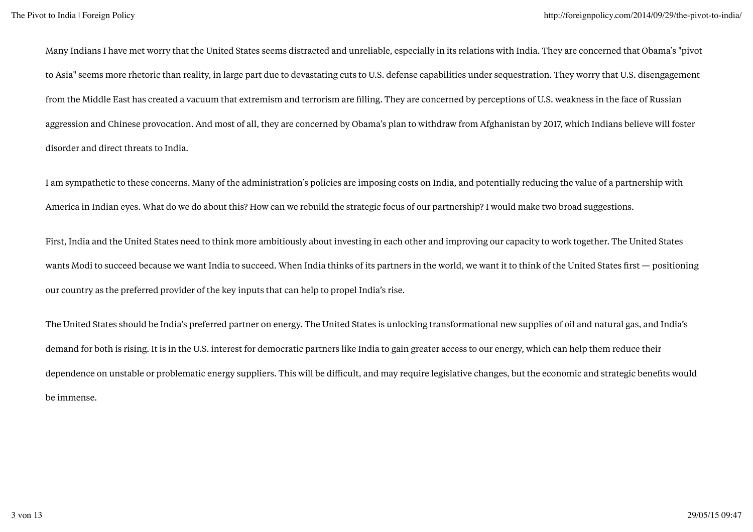Many Indians I have met worry that the United States seems distracted and unreliable, especially in its relations with India. They are concerned that Obama's "pivot to Asia" seems more rhetoric than reality, in large part due to devastating cuts to U.S. defense capabilities under sequestration. They worry that U.S. disengagement from the Middle East has created a vacuum that extremism and terrorism are filling. They are concerned by perceptions of U.S. weakness in the face of Russian aggression and Chinese provocation. And most of all, they are concerned by Obama's plan to withdraw from Afghanistan by 2017, which Indians believe will foster disorder and direct threats to India.

I am sympathetic to these concerns. Many of the administration's policies are imposing costs on India, and potentially reducing the value of a partnership with America in Indian eyes. What do we do about this? How can we rebuild the strategic focus of our partnership? I would make two broad suggestions.

First, India and the United States need to think more ambitiously about investing in each other and improving our capacity to work together. The United States wants Modi to succeed because we want India to succeed. When India thinks of its partners in the world, we want it to think of the United States first — positioning our country as the preferred provider of the key inputs that can help to propel India's rise.

The United States should be India's preferred partner on energy. The United States is unlocking transformational new supplies of oil and natural gas, and India's demand for both is rising. It is in the U.S. interest for democratic partners like India to gain greater access to our energy, which can help them reduce their dependence on unstable or problematic energy suppliers. This will be difficult, and may require legislative changes, but the economic and strategic benefits would be immense.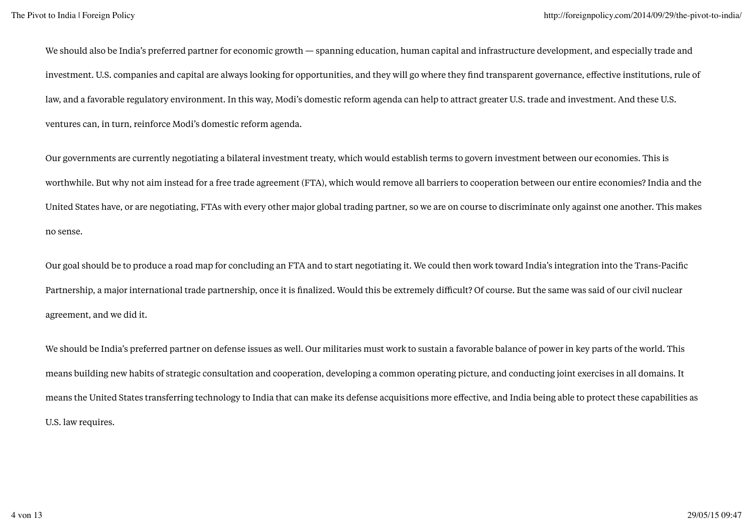We should also be India's preferred partner for economic growth — spanning education, human capital and infrastructure development, and especially trade and investment. U.S. companies and capital are always looking for opportunities, and they will go where they find transparent governance, effective institutions, rule of law, and a favorable regulatory environment. In this way, Modi's domestic reform agenda can help to attract greater U.S. trade and investment. And these U.S. ventures can, in turn, reinforce Modi's domestic reform agenda.

Our governments are currently negotiating a bilateral investment treaty, which would establish terms to govern investment between our economies. This is worthwhile. But why not aim instead for a free trade agreement (FTA), which would remove all barriers to cooperation between our entire economies? India and the United States have, or are negotiating, FTAs with every other major global trading partner, so we are on course to discriminate only against one another. This makes no sense.

Our goal should be to produce a road map for concluding an FTA and to start negotiating it. We could then work toward India's integration into the Trans-Pacific Partnership, a major international trade partnership, once it is finalized. Would this be extremely difficult? Of course. But the same was said of our civil nuclear agreement, and we did it.

We should be India's preferred partner on defense issues as well. Our militaries must work to sustain a favorable balance of power in key parts of the world. This means building new habits of strategic consultation and cooperation, developing a common operating picture, and conducting joint exercises in all domains. It means the United States transferring technology to India that can make its defense acquisitions more effective, and India being able to protect these capabilities as U.S. law requires.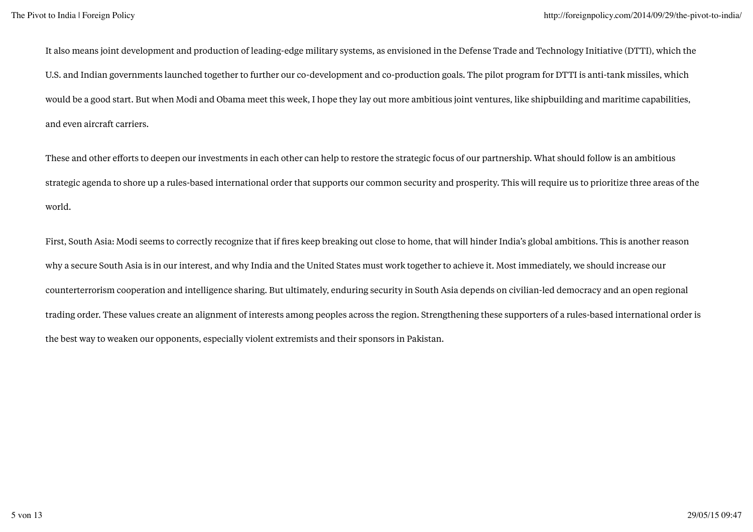It also means joint development and production of leading-edge military systems, as envisioned in the Defense Trade and Technology Initiative (DTTI), which the U.S. and Indian governments launched together to further our co-development and co-production goals. The pilot program for DTTI is anti-tank missiles, which would be a good start. But when Modi and Obama meet this week, I hope they lay out more ambitious joint ventures, like shipbuilding and maritime capabilities, and even aircraft carriers.

These and other efforts to deepen our investments in each other can help to restore the strategic focus of our partnership. What should follow is an ambitious strategic agenda to shore up a rules-based international order that supports our common security and prosperity. This will require us to prioritize three areas of the world.

First, South Asia: Modi seems to correctly recognize that if fires keep breaking out close to home, that will hinder India's global ambitions. This is another reason why a secure South Asia is in our interest, and why India and the United States must work together to achieve it. Most immediately, we should increase our counterterrorism cooperation and intelligence sharing. But ultimately, enduring security in South Asia depends on civilian-led democracy and an open regional trading order. These values create an alignment of interests among peoples across the region. Strengthening these supporters of a rules-based international order is the best way to weaken our opponents, especially violent extremists and their sponsors in Pakistan.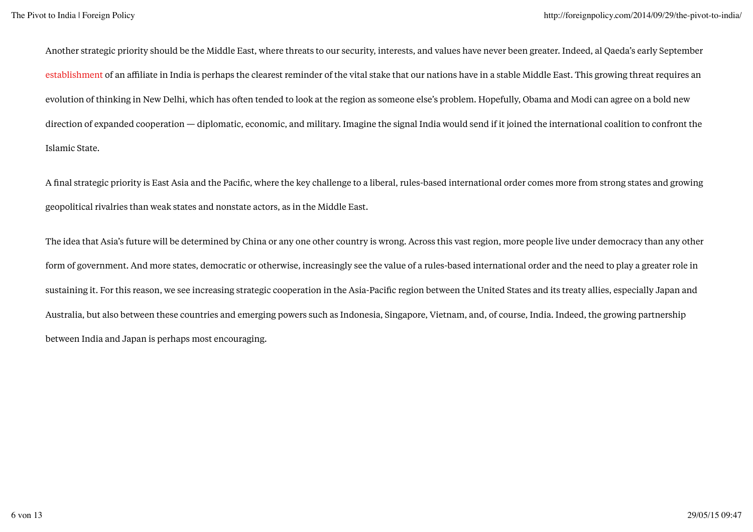Another strategic priority should be the Middle East, where threats to our security, interests, and values have never been greater. Indeed, al Qaeda's early September establishment of an affiliate in India is perhaps the clearest reminder of the vital stake that our nations have in a stable Middle East. This growing threat requires an evolution of thinking in New Delhi, which has often tended to look at the region as someone else's problem. Hopefully, Obama and Modi can agree on a bold new direction of expanded cooperation — diplomatic, economic, and military. Imagine the signal India would send if it joined the international coalition to confront the Islamic State.

A final strategic priority is East Asia and the Pacific, where the key challenge to a liberal, rules-based international order comes more from strong states and growing geopolitical rivalries than weak states and nonstate actors, as in the Middle East.

The idea that Asia's future will be determined by China or any one other country is wrong. Across this vast region, more people live under democracy than any other form of government. And more states, democratic or otherwise, increasingly see the value of a rules-based international order and the need to play a greater role in sustaining it. For this reason, we see increasing strategic cooperation in the Asia-Pacific region between the United States and its treaty allies, especially Japan and Australia, but also between these countries and emerging powers such as Indonesia, Singapore, Vietnam, and, of course, India. Indeed, the growing partnership between India and Japan is perhaps most encouraging.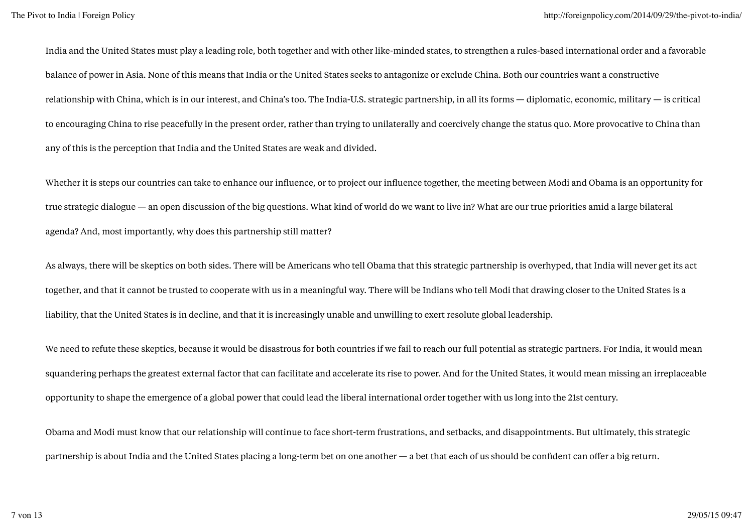India and the United States must play a leading role, both together and with other like-minded states, to strengthen a rules-based international order and a favorable balance of power in Asia. None of this means that India or the United States seeks to antagonize or exclude China. Both our countries want a constructive relationship with China, which is in our interest, and China's too. The India-U.S. strategic partnership, in all its forms — diplomatic, economic, military — is critical to encouraging China to rise peacefully in the present order, rather than trying to unilaterally and coercively change the status quo. More provocative to China than any of this is the perception that India and the United States are weak and divided.

Whether it is steps our countries can take to enhance our influence, or to project our influence together, the meeting between Modi and Obama is an opportunity for true strategic dialogue — an open discussion of the big questions. What kind of world do we want to live in? What are our true priorities amid a large bilateral agenda? And, most importantly, why does this partnership still matter?

As always, there will be skeptics on both sides. There will be Americans who tell Obama that this strategic partnership is overhyped, that India will never get its act together, and that it cannot be trusted to cooperate with us in a meaningful way. There will be Indians who tell Modi that drawing closer to the United States is a liability, that the United States is in decline, and that it is increasingly unable and unwilling to exert resolute global leadership.

We need to refute these skeptics, because it would be disastrous for both countries if we fail to reach our full potential as strategic partners. For India, it would mean squandering perhaps the greatest external factor that can facilitate and accelerate its rise to power. And for the United States, it would mean missing an irreplaceable opportunity to shape the emergence of a global power that could lead the liberal international order together with us long into the 21st century.

Obama and Modi must know that our relationship will continue to face short-term frustrations, and setbacks, and disappointments. But ultimately, this strategic partnership is about India and the United States placing a long-term bet on one another — a bet that each of us should be confident can offer a big return.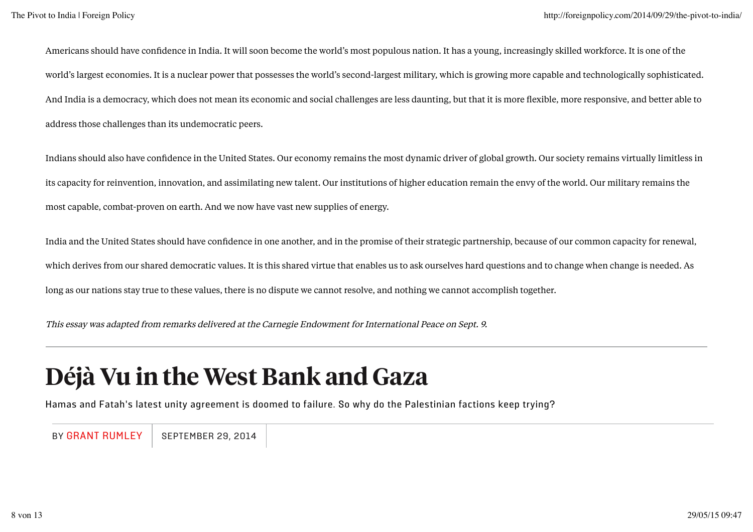Americans should have confidence in India. It will soon become the world's most populous nation. It has a young, increasingly skilled workforce. It is one of the world's largest economies. It is a nuclear power that possesses the world's second-largest military, which is growing more capable and technologically sophisticated. And India is a democracy, which does not mean its economic and social challenges are less daunting, but that it is more flexible, more responsive, and better able to address those challenges than its undemocratic peers.

Indians should also have confidence in the United States. Our economy remains the most dynamic driver of global growth. Our society remains virtually limitless in its capacity for reinvention, innovation, and assimilating new talent. Our institutions of higher education remain the envy of the world. Our military remains the most capable, combat-proven on earth. And we now have vast new supplies of energy.

India and the United States should have confidence in one another, and in the promise of their strategic partnership, because of our common capacity for renewal, which derives from our shared democratic values. It is this shared virtue that enables us to ask ourselves hard questions and to change when change is needed. As long as our nations stay true to these values, there is no dispute we cannot resolve, and nothing we cannot accomplish together.

This essay was adapted from remarks delivered at the Carnegie Endowment for International Peace on Sept. 9.

## Déjà Vu in the West Bank and Gaza

Hamas and Fatah's latest unity agreement is doomed to failure. So why do the Palestinian factions keep trying?

BY GRANT RUMLEY | SEPTEMBER 29, 2014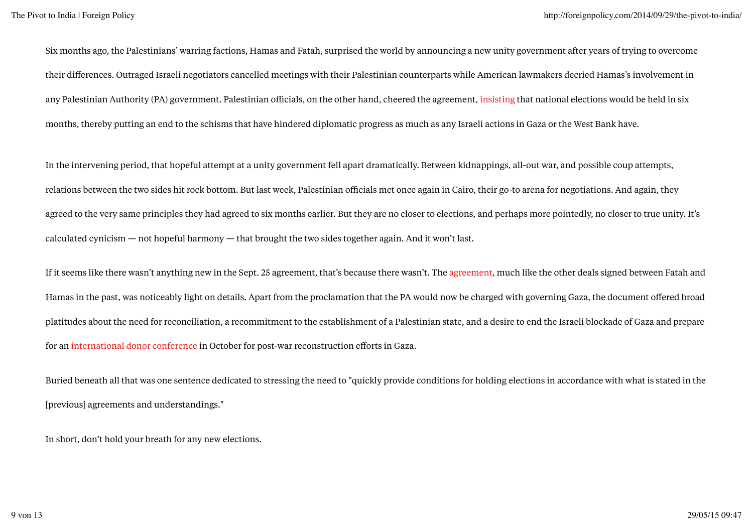Six months ago, the Palestinians' warring factions, Hamas and Fatah, surprised the world by announcing a new unity government after years of trying to overcome their differences. Outraged Israeli negotiators cancelled meetings with their Palestinian counterparts while American lawmakers decried Hamas's involvement in any Palestinian Authority (PA) government. Palestinian officials, on the other hand, cheered the agreement, insisting that national elections would be held in six months, thereby putting an end to the schisms that have hindered diplomatic progress as much as any Israeli actions in Gaza or the West Bank have.

In the intervening period, that hopeful attempt at a unity government fell apart dramatically. Between kidnappings, all-out war, and possible coup attempts, relations between the two sides hit rock bottom. But last week, Palestinian officials met once again in Cairo, their go-to arena for negotiations. And again, they agreed to the very same principles they had agreed to six months earlier. But they are no closer to elections, and perhaps more pointedly, no closer to true unity. It's calculated cynicism — not hopeful harmony — that brought the two sides together again. And it won't last.

If it seems like there wasn't anything new in the Sept. 25 agreement, that's because there wasn't. The agreement, much like the other deals signed between Fatah and Hamas in the past, was noticeably light on details. Apart from the proclamation that the PA would now be charged with governing Gaza, the document offered broad platitudes about the need for reconciliation, a recommitment to the establishment of a Palestinian state, and a desire to end the Israeli blockade of Gaza and prepare for an international donor conference in October for post-war reconstruction efforts in Gaza.

Buried beneath all that was one sentence dedicated to stressing the need to "quickly provide conditions for holding elections in accordance with what is stated in the [previous] agreements and understandings."

In short, don't hold your breath for any new elections.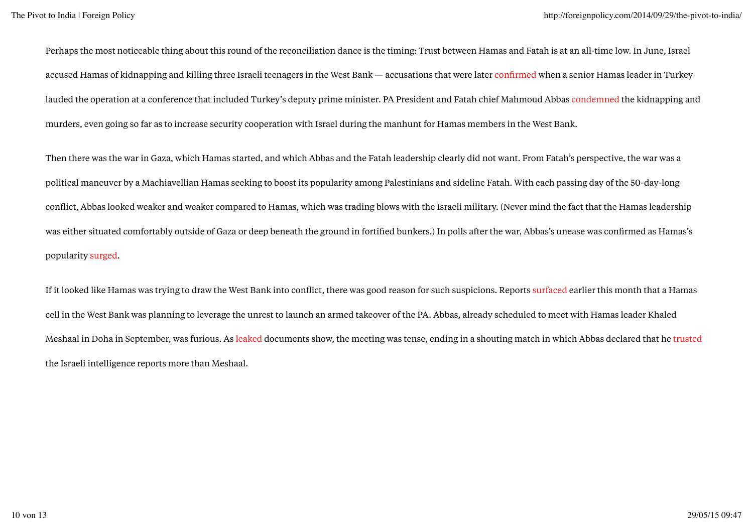Perhaps the most noticeable thing about this round of the reconciliation dance is the timing: Trust between Hamas and Fatah is at an all-time low. In June, Israel accused Hamas of kidnapping and killing three Israeli teenagers in the West Bank — accusations that were later confirmed when a senior Hamas leader in Turkey lauded the operation at a conference that included Turkey's deputy prime minister. PA President and Fatah chief Mahmoud Abbas condemned the kidnapping and murders, even going so far as to increase security cooperation with Israel during the manhunt for Hamas members in the West Bank.

Then there was the war in Gaza, which Hamas started, and which Abbas and the Fatah leadership clearly did not want. From Fatah's perspective, the war was a political maneuver by a Machiavellian Hamas seeking to boost its popularity among Palestinians and sideline Fatah. With each passing day of the 50-day-long conflict, Abbas looked weaker and weaker compared to Hamas, which was trading blows with the Israeli military. (Never mind the fact that the Hamas leadership was either situated comfortably outside of Gaza or deep beneath the ground in fortified bunkers.) In polls after the war, Abbas's unease was confirmed as Hamas's popularity surged.

If it looked like Hamas was trying to draw the West Bank into conflict, there was good reason for such suspicions. Reports surfaced earlier this month that a Hamas cell in the West Bank was planning to leverage the unrest to launch an armed takeover of the PA. Abbas, already scheduled to meet with Hamas leader Khaled Meshaal in Doha in September, was furious. As leaked documents show, the meeting was tense, ending in a shouting match in which Abbas declared that he trusted the Israeli intelligence reports more than Meshaal.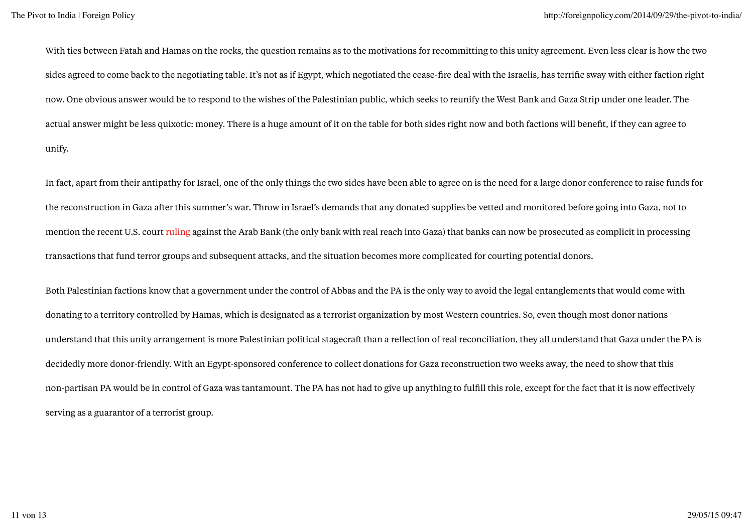With ties between Fatah and Hamas on the rocks, the question remains as to the motivations for recommitting to this unity agreement. Even less clear is how the two sides agreed to come back to the negotiating table. It's not as if Egypt, which negotiated the cease-fire deal with the Israelis, has terrific sway with either faction right now. One obvious answer would be to respond to the wishes of the Palestinian public, which seeks to reunify the West Bank and Gaza Strip under one leader. The actual answer might be less quixotic: money. There is a huge amount of it on the table for both sides right now and both factions will benefit, if they can agree to unify.

In fact, apart from their antipathy for Israel, one of the only things the two sides have been able to agree on is the need for a large donor conference to raise funds for the reconstruction in Gaza after this summer's war. Throw in Israel's demands that any donated supplies be vetted and monitored before going into Gaza, not to mention the recent U.S. court ruling against the Arab Bank (the only bank with real reach into Gaza) that banks can now be prosecuted as complicit in processing transactions that fund terror groups and subsequent attacks, and the situation becomes more complicated for courting potential donors.

Both Palestinian factions know that a government under the control of Abbas and the PA is the only way to avoid the legal entanglements that would come with donating to a territory controlled by Hamas, which is designated as a terrorist organization by most Western countries. So, even though most donor nations understand that this unity arrangement is more Palestinian political stagecraft than a reflection of real reconciliation, they all understand that Gaza under the PA is decidedly more donor-friendly. With an Egypt-sponsored conference to collect donations for Gaza reconstruction two weeks away, the need to show that this non-partisan PA would be in control of Gaza was tantamount. The PA has not had to give up anything to fulfill this role, except for the fact that it is now effectively serving as a guarantor of a terrorist group.